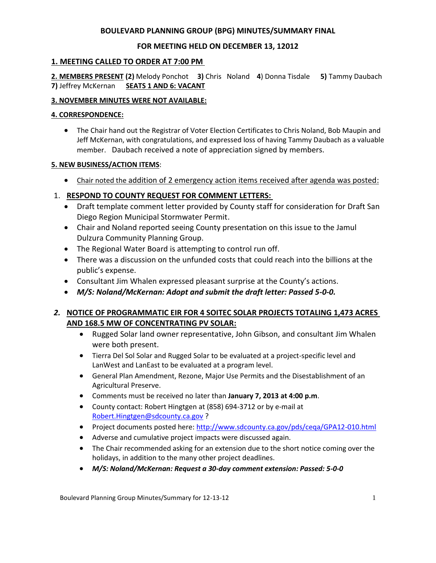### **BOULEVARD PLANNING GROUP (BPG) MINUTES/SUMMARY FINAL**

## **FOR MEETING HELD ON DECEMBER 13, 12012**

### **1. MEETING CALLED TO ORDER AT 7:00 PM**

**2. MEMBERS PRESENT (2)** Melody Ponchot **3)** Chris Noland **4**) Donna Tisdale **5)** Tammy Daubach **7)** Jeffrey McKernan **SEATS 1 AND 6: VACANT**

### **3. NOVEMBER MINUTES WERE NOT AVAILABLE:**

#### **4. CORRESPONDENCE:**

 The Chair hand out the Registrar of Voter Election Certificates to Chris Noland, Bob Maupin and Jeff McKernan, with congratulations, and expressed loss of having Tammy Daubach as a valuable member. Daubach received a note of appreciation signed by members.

#### **5. NEW BUSINESS/ACTION ITEMS**:

Chair noted the addition of 2 emergency action items received after agenda was posted:

## 1. **RESPOND TO COUNTY REQUEST FOR COMMENT LETTERS:**

- Draft template comment letter provided by County staff for consideration for Draft San Diego Region Municipal Stormwater Permit.
- Chair and Noland reported seeing County presentation on this issue to the Jamul Dulzura Community Planning Group.
- The Regional Water Board is attempting to control run off.
- There was a discussion on the unfunded costs that could reach into the billions at the public's expense.
- Consultant Jim Whalen expressed pleasant surprise at the County's actions.
- *M/S: Noland/McKernan: Adopt and submit the draft letter: Passed 5-0-0.*

# *2.* **NOTICE OF PROGRAMMATIC EIR FOR 4 SOITEC SOLAR PROJECTS TOTALING 1,473 ACRES AND 168.5 MW OF CONCENTRATING PV SOLAR:**

- Rugged Solar land owner representative, John Gibson, and consultant Jim Whalen were both present.
- Tierra Del Sol Solar and Rugged Solar to be evaluated at a project-specific level and LanWest and LanEast to be evaluated at a program level.
- General Plan Amendment, Rezone, Major Use Permits and the Disestablishment of an Agricultural Preserve.
- Comments must be received no later than **January 7, 2013 at 4:00 p.m**.
- County contact: Robert Hingtgen at (858) 694-3712 or by e-mail at Robert.Hingtgen@sdcounty.ca.gov ?
- Project documents posted here: http://www.sdcounty.ca.gov/pds/ceqa/GPA12-010.html
- Adverse and cumulative project impacts were discussed again.
- The Chair recommended asking for an extension due to the short notice coming over the holidays, in addition to the many other project deadlines.
- *M/S: Noland/McKernan: Request a 30-day comment extension: Passed: 5-0-0*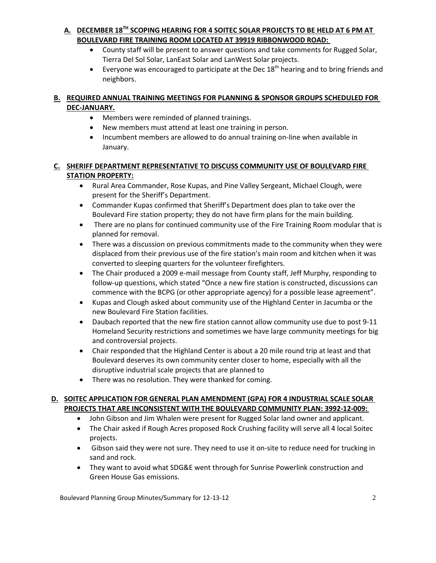# **A. DECEMBER 18TH SCOPING HEARING FOR 4 SOITEC SOLAR PROJECTS TO BE HELD AT 6 PM AT BOULEVARD FIRE TRAINING ROOM LOCATED AT 39919 RIBBONWOOD ROAD:**

- County staff will be present to answer questions and take comments for Rugged Solar, Tierra Del Sol Solar, LanEast Solar and LanWest Solar projects.
- Everyone was encouraged to participate at the Dec  $18^{th}$  hearing and to bring friends and neighbors.

### **B. REQUIRED ANNUAL TRAINING MEETINGS FOR PLANNING & SPONSOR GROUPS SCHEDULED FOR DEC-JANUARY.**

- Members were reminded of planned trainings.
- New members must attend at least one training in person.
- Incumbent members are allowed to do annual training on-line when available in January.

## **C. SHERIFF DEPARTMENT REPRESENTATIVE TO DISCUSS COMMUNITY USE OF BOULEVARD FIRE STATION PROPERTY:**

- Rural Area Commander, Rose Kupas, and Pine Valley Sergeant, Michael Clough, were present for the Sheriff's Department.
- Commander Kupas confirmed that Sheriff's Department does plan to take over the Boulevard Fire station property; they do not have firm plans for the main building.
- There are no plans for continued community use of the Fire Training Room modular that is planned for removal.
- There was a discussion on previous commitments made to the community when they were displaced from their previous use of the fire station's main room and kitchen when it was converted to sleeping quarters for the volunteer firefighters.
- The Chair produced a 2009 e-mail message from County staff, Jeff Murphy, responding to follow-up questions, which stated "Once a new fire station is constructed, discussions can commence with the BCPG (or other appropriate agency) for a possible lease agreement".
- Kupas and Clough asked about community use of the Highland Center in Jacumba or the new Boulevard Fire Station facilities.
- Daubach reported that the new fire station cannot allow community use due to post 9-11 Homeland Security restrictions and sometimes we have large community meetings for big and controversial projects.
- Chair responded that the Highland Center is about a 20 mile round trip at least and that Boulevard deserves its own community center closer to home, especially with all the disruptive industrial scale projects that are planned to
- There was no resolution. They were thanked for coming.

### **D. SOITEC APPLICATION FOR GENERAL PLAN AMENDMENT (GPA) FOR 4 INDUSTRIAL SCALE SOLAR PROJECTS THAT ARE INCONSISTENT WITH THE BOULEVARD COMMUNITY PLAN: 3992-12-009:**

- John Gibson and Jim Whalen were present for Rugged Solar land owner and applicant.
- The Chair asked if Rough Acres proposed Rock Crushing facility will serve all 4 local Soitec projects.
- Gibson said they were not sure. They need to use it on-site to reduce need for trucking in sand and rock.
- They want to avoid what SDG&E went through for Sunrise Powerlink construction and Green House Gas emissions.

Boulevard Planning Group Minutes/Summary for 12-13-12 2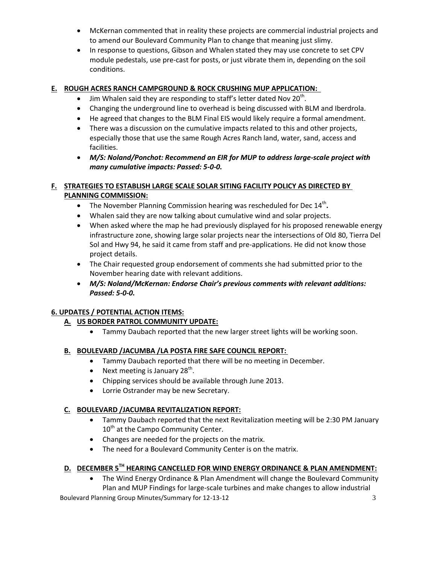- McKernan commented that in reality these projects are commercial industrial projects and to amend our Boulevard Community Plan to change that meaning just slimy.
- In response to questions, Gibson and Whalen stated they may use concrete to set CPV module pedestals, use pre-cast for posts, or just vibrate them in, depending on the soil conditions.

## **E. ROUGH ACRES RANCH CAMPGROUND & ROCK CRUSHING MUP APPLICATION:**

- $\bullet$  Jim Whalen said they are responding to staff's letter dated Nov 20<sup>th</sup>.
- Changing the underground line to overhead is being discussed with BLM and Iberdrola.
- He agreed that changes to the BLM Final EIS would likely require a formal amendment.
- There was a discussion on the cumulative impacts related to this and other projects, especially those that use the same Rough Acres Ranch land, water, sand, access and facilities.
- *M/S: Noland/Ponchot: Recommend an EIR for MUP to address large-scale project with many cumulative impacts: Passed: 5-0-0.*

### **F. STRATEGIES TO ESTABLISH LARGE SCALE SOLAR SITING FACILITY POLICY AS DIRECTED BY PLANNING COMMISSION:**

- The November Planning Commission hearing was rescheduled for Dec 14<sup>th</sup>.
- Whalen said they are now talking about cumulative wind and solar projects.
- When asked where the map he had previously displayed for his proposed renewable energy infrastructure zone, showing large solar projects near the intersections of Old 80, Tierra Del Sol and Hwy 94, he said it came from staff and pre-applications. He did not know those project details.
- The Chair requested group endorsement of comments she had submitted prior to the November hearing date with relevant additions.
- *M/S: Noland/McKernan: Endorse Chair's previous comments with relevant additions: Passed: 5-0-0.*

# **6. UPDATES / POTENTIAL ACTION ITEMS:**

### **A. US BORDER PATROL COMMUNITY UPDATE:**

Tammy Daubach reported that the new larger street lights will be working soon.

### **B. BOULEVARD /JACUMBA /LA POSTA FIRE SAFE COUNCIL REPORT:**

- Tammy Daubach reported that there will be no meeting in December.
- Next meeting is January 28<sup>th</sup>.
- Chipping services should be available through June 2013.
- Lorrie Ostrander may be new Secretary.

### **C. BOULEVARD /JACUMBA REVITALIZATION REPORT:**

- Tammy Daubach reported that the next Revitalization meeting will be 2:30 PM January 10<sup>th</sup> at the Campo Community Center.
- Changes are needed for the projects on the matrix.
- The need for a Boulevard Community Center is on the matrix.

# **D. DECEMBER 5TH HEARING CANCELLED FOR WIND ENERGY ORDINANCE & PLAN AMENDMENT:**

 The Wind Energy Ordinance & Plan Amendment will change the Boulevard Community Plan and MUP Findings for large-scale turbines and make changes to allow industrial

Boulevard Planning Group Minutes/Summary for 12-13-12 3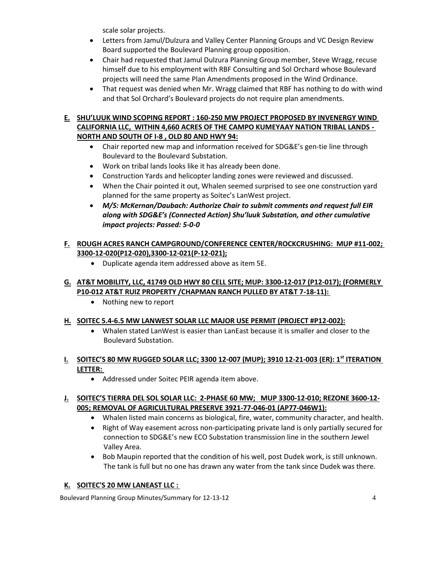scale solar projects.

- Letters from Jamul/Dulzura and Valley Center Planning Groups and VC Design Review Board supported the Boulevard Planning group opposition.
- Chair had requested that Jamul Dulzura Planning Group member, Steve Wragg, recuse himself due to his employment with RBF Consulting and Sol Orchard whose Boulevard projects will need the same Plan Amendments proposed in the Wind Ordinance.
- That request was denied when Mr. Wragg claimed that RBF has nothing to do with wind and that Sol Orchard's Boulevard projects do not require plan amendments.

# **E. SHU'LUUK WIND SCOPING REPORT : 160-250 MW PROJECT PROPOSED BY INVENERGY WIND CALIFORNIA LLC, WITHIN 4,660 ACRES OF THE CAMPO KUMEYAAY NATION TRIBAL LANDS - NORTH AND SOUTH OF I-8 , OLD 80 AND HWY 94:**

- Chair reported new map and information received for SDG&E's gen-tie line through Boulevard to the Boulevard Substation.
- Work on tribal lands looks like it has already been done.
- Construction Yards and helicopter landing zones were reviewed and discussed.
- When the Chair pointed it out, Whalen seemed surprised to see one construction yard planned for the same property as Soitec's LanWest project.
- *M/S: McKernan/Daubach: Authorize Chair to submit comments and request full EIR along with SDG&E's (Connected Action) Shu'luuk Substation, and other cumulative impact projects: Passed: 5-0-0*
- **F. ROUGH ACRES RANCH CAMPGROUND/CONFERENCE CENTER/ROCKCRUSHING: MUP #11-002; 3300-12-020(P12-020),3300-12-021(P-12-021);**
	- Duplicate agenda item addressed above as item 5E.

## **G. AT&T MOBILITY, LLC, 41749 OLD HWY 80 CELL SITE; MUP: 3300-12-017 (P12-017); (FORMERLY P10-012 AT&T RUIZ PROPERTY /CHAPMAN RANCH PULLED BY AT&T 7-18-11):**

• Nothing new to report

### **H. SOITEC 5.4-6.5 MW LANWEST SOLAR LLC MAJOR USE PERMIT (PROJECT #P12-002):**

 Whalen stated LanWest is easier than LanEast because it is smaller and closer to the Boulevard Substation.

# **I. SOITEC'S 80 MW RUGGED SOLAR LLC; 3300 12-007 (MUP); 3910 12-21-003 (ER): 1st ITERATION LETTER:**

Addressed under Soitec PEIR agenda item above.

### **J. SOITEC'S TIERRA DEL SOL SOLAR LLC: 2-PHASE 60 MW; MUP 3300-12-010; REZONE 3600-12- 005; REMOVAL OF AGRICULTURAL PRESERVE 3921-77-046-01 (AP77-046W1):**

- Whalen listed main concerns as biological, fire, water, community character, and health.
- Right of Way easement across non-participating private land is only partially secured for connection to SDG&E's new ECO Substation transmission line in the southern Jewel Valley Area.
- Bob Maupin reported that the condition of his well, post Dudek work, is still unknown. The tank is full but no one has drawn any water from the tank since Dudek was there.

### **K. SOITEC'S 20 MW LANEAST LLC :**

Boulevard Planning Group Minutes/Summary for 12-13-12 4